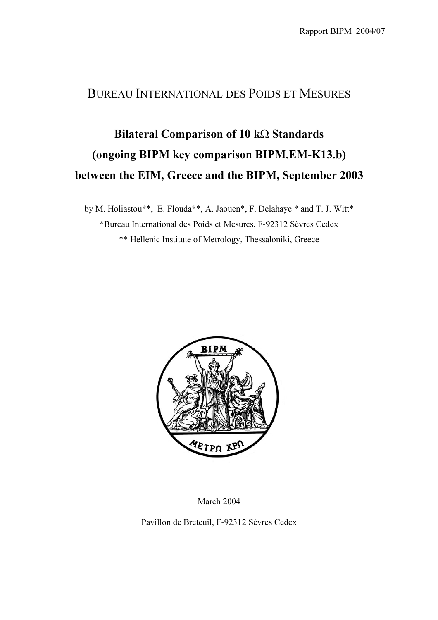### BUREAU INTERNATIONAL DES POIDS ET MESURES

# Bilateral Comparison of 10 kΩ Standards (ongoing BIPM key comparison BIPM.EM-K13.b) between the EIM, Greece and the BIPM, September 2003

by M. Holiastou\*\*, E. Flouda\*\*, A. Jaouen\*, F. Delahaye \* and T. J. Witt\* \*Bureau International des Poids et Mesures, F-92312 Sèvres Cedex \*\* Hellenic Institute of Metrology, Thessaloniki, Greece



March 2004

Pavillon de Breteuil, F-92312 Sèvres Cedex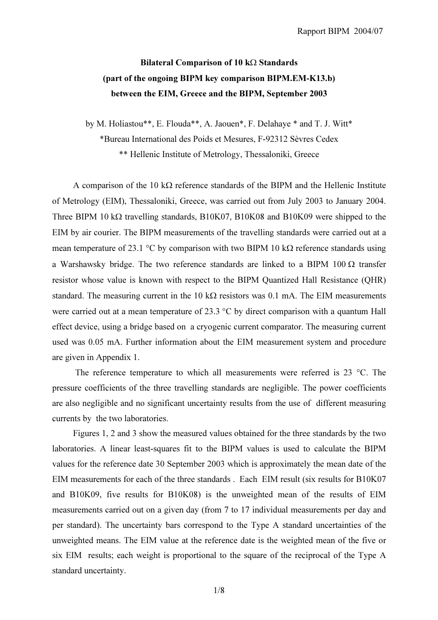## Bilateral Comparison of 10 kΩ Standards (part of the ongoing BIPM key comparison BIPM.EM-K13.b) between the EIM, Greece and the BIPM, September 2003

by M. Holiastou\*\*, E. Flouda\*\*, A. Jaouen\*, F. Delahaye \* and T. J. Witt\*

\*Bureau International des Poids et Mesures, F-92312 Sèvres Cedex

\*\* Hellenic Institute of Metrology, Thessaloniki, Greece

A comparison of the 10 kΩ reference standards of the BIPM and the Hellenic Institute of Metrology (EIM), Thessaloniki, Greece, was carried out from July 2003 to January 2004. Three BIPM 10 kΩ travelling standards, B10K07, B10K08 and B10K09 were shipped to the EIM by air courier. The BIPM measurements of the travelling standards were carried out at a mean temperature of 23.1 °C by comparison with two BIPM 10 k $\Omega$  reference standards using a Warshawsky bridge. The two reference standards are linked to a BIPM 100  $\Omega$  transfer resistor whose value is known with respect to the BIPM Quantized Hall Resistance (QHR) standard. The measuring current in the 10 k $\Omega$  resistors was 0.1 mA. The EIM measurements were carried out at a mean temperature of 23.3 °C by direct comparison with a quantum Hall effect device, using a bridge based on a cryogenic current comparator. The measuring current used was 0.05 mA. Further information about the EIM measurement system and procedure are given in Appendix 1.

 The reference temperature to which all measurements were referred is 23 °C. The pressure coefficients of the three travelling standards are negligible. The power coefficients are also negligible and no significant uncertainty results from the use of different measuring currents by the two laboratories.

Figures 1, 2 and 3 show the measured values obtained for the three standards by the two laboratories. A linear least-squares fit to the BIPM values is used to calculate the BIPM values for the reference date 30 September 2003 which is approximately the mean date of the EIM measurements for each of the three standards . Each EIM result (six results for B10K07 and B10K09, five results for B10K08) is the unweighted mean of the results of EIM measurements carried out on a given day (from 7 to 17 individual measurements per day and per standard). The uncertainty bars correspond to the Type A standard uncertainties of the unweighted means. The EIM value at the reference date is the weighted mean of the five or six EIM results; each weight is proportional to the square of the reciprocal of the Type A standard uncertainty.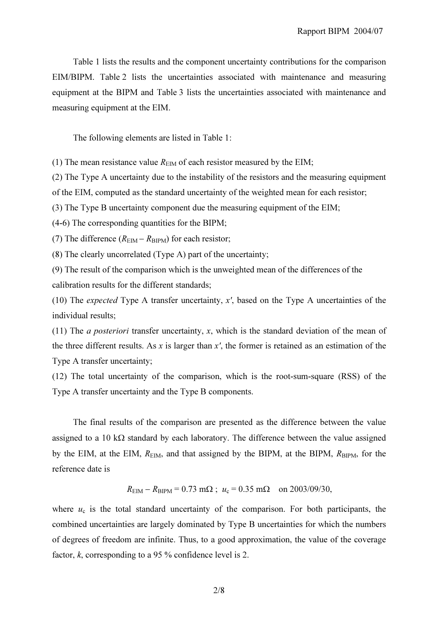Table 1 lists the results and the component uncertainty contributions for the comparison EIM/BIPM. Table 2 lists the uncertainties associated with maintenance and measuring equipment at the BIPM and Table 3 lists the uncertainties associated with maintenance and measuring equipment at the EIM.

The following elements are listed in Table 1:

(1) The mean resistance value  $R_{\text{EM}}$  of each resistor measured by the EIM;

(2) The Type A uncertainty due to the instability of the resistors and the measuring equipment

of the EIM, computed as the standard uncertainty of the weighted mean for each resistor;

(3) The Type B uncertainty component due the measuring equipment of the EIM;

(4-6) The corresponding quantities for the BIPM;

(7) The difference  $(R<sub>EM</sub> - R<sub>BIPM</sub>)$  for each resistor;

(8) The clearly uncorrelated (Type A) part of the uncertainty;

(9) The result of the comparison which is the unweighted mean of the differences of the calibration results for the different standards;

(10) The expected Type A transfer uncertainty, x', based on the Type A uncertainties of the individual results;

(11) The *a posteriori* transfer uncertainty,  $x$ , which is the standard deviation of the mean of the three different results. As x is larger than  $x'$ , the former is retained as an estimation of the Type A transfer uncertainty;

(12) The total uncertainty of the comparison, which is the root-sum-square (RSS) of the Type A transfer uncertainty and the Type B components.

The final results of the comparison are presented as the difference between the value assigned to a 10 k $\Omega$  standard by each laboratory. The difference between the value assigned by the EIM, at the EIM,  $R_{\text{EIM}}$ , and that assigned by the BIPM, at the BIPM,  $R_{\text{BIPM}}$ , for the reference date is

 $R_{\text{EIM}} - R_{\text{BIPM}} = 0.73 \text{ m}\Omega$ ;  $u_c = 0.35 \text{ m}\Omega$  on 2003/09/30,

where  $u_c$  is the total standard uncertainty of the comparison. For both participants, the combined uncertainties are largely dominated by Type B uncertainties for which the numbers of degrees of freedom are infinite. Thus, to a good approximation, the value of the coverage factor, k, corresponding to a 95 % confidence level is 2.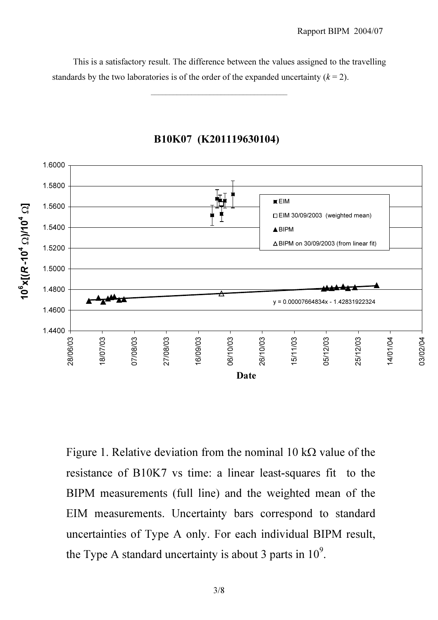This is a satisfactory result. The difference between the values assigned to the travelling standards by the two laboratories is of the order of the expanded uncertainty  $(k = 2)$ .

\_\_\_\_\_\_\_\_\_\_\_\_\_\_\_\_\_\_\_\_\_\_\_\_\_\_\_\_\_\_\_\_\_\_\_\_\_



B10K07 (K201119630104)

Figure 1. Relative deviation from the nominal 10 k $\Omega$  value of the resistance of B10K7 vs time: a linear least-squares fit to the BIPM measurements (full line) and the weighted mean of the EIM measurements. Uncertainty bars correspond to standard uncertainties of Type A only. For each individual BIPM result, the Type A standard uncertainty is about 3 parts in  $10^9$ .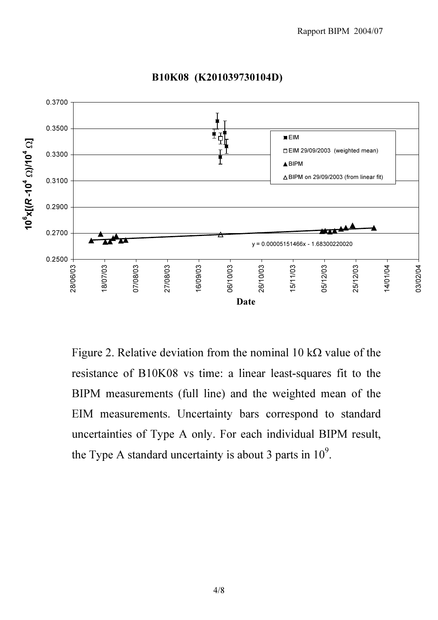

B10K08 (K201039730104D)

Figure 2. Relative deviation from the nominal 10 k $\Omega$  value of the resistance of B10K08 vs time: a linear least-squares fit to the BIPM measurements (full line) and the weighted mean of the EIM measurements. Uncertainty bars correspond to standard uncertainties of Type A only. For each individual BIPM result, the Type A standard uncertainty is about 3 parts in  $10^9$ .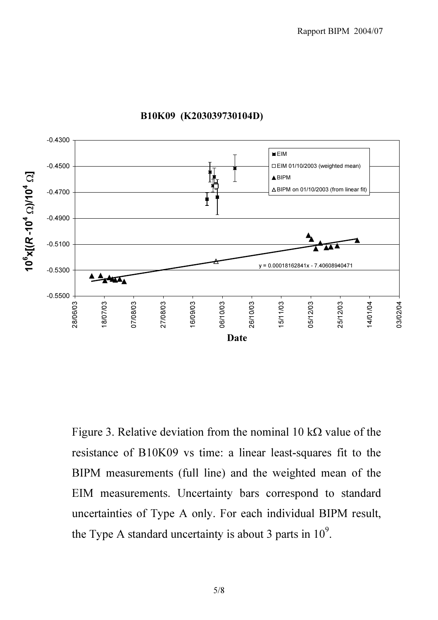

#### B10K09 (K203039730104D)

Figure 3. Relative deviation from the nominal 10 k $\Omega$  value of the resistance of B10K09 vs time: a linear least-squares fit to the BIPM measurements (full line) and the weighted mean of the EIM measurements. Uncertainty bars correspond to standard uncertainties of Type A only. For each individual BIPM result, the Type A standard uncertainty is about 3 parts in 10*<sup>9</sup>* .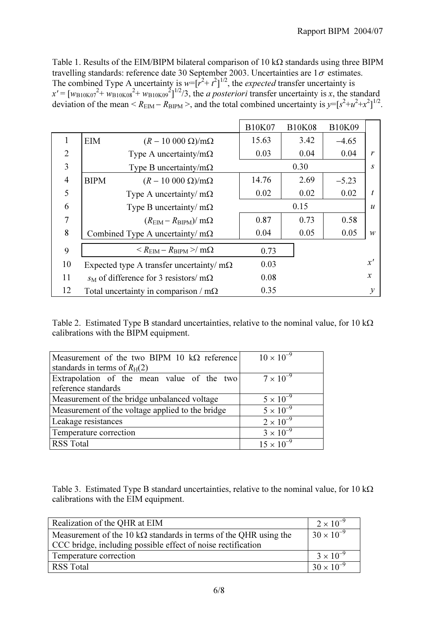Table 1. Results of the EIM/BIPM bilateral comparison of 10 kΩ standards using three BIPM travelling standards: reference date 30 September 2003. Uncertainties are  $1\sigma$  estimates. The combined Type A uncertainty is  $w=[r^2+t^2]^{1/2}$ , the *expected* transfer uncertainty is  $x' = [w_{\text{B10K07}}^2 + w_{\text{B10K08}}^2 + w_{\text{B10K09}}^2]^{1/2}/3$ , the *a posteriori* transfer uncertainty is x, the standard deviation of the mean <  $R_{\text{EIM}} - R_{\text{BIPM}}$  >, and the total combined uncertainty is  $y = [s^2 + u^2 + x^2]^{1/2}$ .

|                |                                                        | <b>B10K07</b> | <b>B10K08</b> | <b>B10K09</b> |                  |
|----------------|--------------------------------------------------------|---------------|---------------|---------------|------------------|
| 1              | <b>EIM</b><br>$(R - 10000 \Omega)/m\Omega$             | 15.63         | 3.42          | $-4.65$       |                  |
| $\overline{2}$ | Type A uncertainty/m $\Omega$                          | 0.03          | 0.04          | 0.04          | $\mathbf{r}$     |
| $\overline{3}$ | Type B uncertainty/m $\Omega$                          |               | 0.30<br>S     |               |                  |
| $\overline{4}$ | <b>BIPM</b><br>$(R-10\ 000\ \Omega)/m\Omega$           | 14.76         | 2.69          | $-5.23$       |                  |
| 5              | Type A uncertainty/ $m\Omega$                          | 0.02          | 0.02          | 0.02          | t                |
| 6              | Type B uncertainty/ $m\Omega$                          |               | 0.15          |               | $\boldsymbol{u}$ |
| 7              | $(REM - RBIPM)/ m\Omega$                               | 0.87          | 0.73          | 0.58          |                  |
| 8              | Combined Type A uncertainty/ $m\Omega$                 | 0.04          | 0.05          | 0.05          | $\mathcal W$     |
| 9              | $\langle R_{\rm EIM} - R_{\rm BIPM} \rangle / m\Omega$ | 0.73          |               |               |                  |
| 10             | Expected type A transfer uncertainty/ $m\Omega$        | 0.03          |               |               | x'               |
| 11             | $s_M$ of difference for 3 resistors/ m $\Omega$        | 0.08          |               |               | $\mathcal{X}$    |
| 12             | Total uncertainty in comparison / $m\Omega$            | 0.35          |               |               | $\mathcal{Y}$    |

Table 2. Estimated Type B standard uncertainties, relative to the nominal value, for 10 kΩ calibrations with the BIPM equipment.

| Measurement of the two BIPM 10 $k\Omega$ reference | $10 \times 10^{-9}$ |
|----------------------------------------------------|---------------------|
| standards in terms of $R_H(2)$                     |                     |
| Extrapolation of the mean value of the two         | $7 \times 10^{-9}$  |
| reference standards                                |                     |
| Measurement of the bridge unbalanced voltage       | $5 \times 10^{-9}$  |
| Measurement of the voltage applied to the bridge   | $5 \times 10^{-9}$  |
| Leakage resistances                                | $2 \times 10^{-9}$  |
| Temperature correction                             | $3 \times 10^{-9}$  |
| <b>RSS Total</b>                                   | $15 \times 10^{-9}$ |

Table 3. Estimated Type B standard uncertainties, relative to the nominal value, for 10 kΩ calibrations with the EIM equipment.

| Realization of the QHR at EIM                                            | $2 \times 10^{-9}$  |
|--------------------------------------------------------------------------|---------------------|
| Measurement of the 10 k $\Omega$ standards in terms of the QHR using the | $30 \times 10^{-9}$ |
| CCC bridge, including possible effect of noise rectification             |                     |
| Temperature correction                                                   | $3 \times 10^{-9}$  |
| RSS Total                                                                | $30 \times 10^{-9}$ |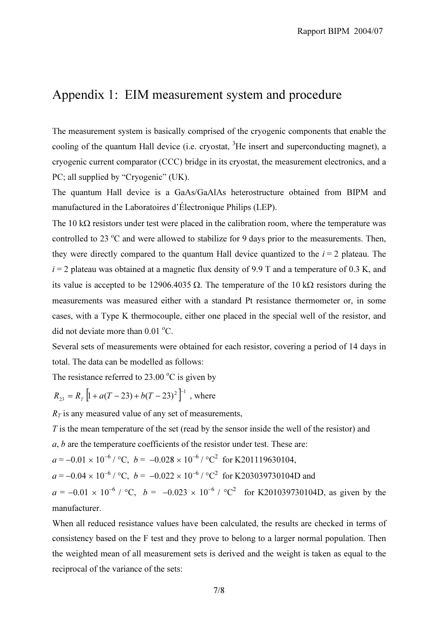## Appendix 1: EIM measurement system and procedure

The measurement system is basically comprised of the cryogenic components that enable the cooling of the quantum Hall device (i.e. cryostat, <sup>3</sup>He insert and superconducting magnet), a cryogenic current comparator (CCC) bridge in its cryostat, the measurement electronics, and a PC; all supplied by "Cryogenic" (UK).

The quantum Hall device is a GaAs/GaAlAs heterostructure obtained from BIPM and manufactured in the Laboratoires d'Électronique Philips (LEP).

The 10 k $\Omega$  resistors under test were placed in the calibration room, where the temperature was controlled to 23  $\degree$ C and were allowed to stabilize for 9 days prior to the measurements. Then, they were directly compared to the quantum Hall device quantized to the  $i = 2$  plateau. The  $i = 2$  plateau was obtained at a magnetic flux density of 9.9 T and a temperature of 0.3 K, and its value is accepted to be 12906.4035 Ω. The temperature of the 10 kΩ resistors during the measurements was measured either with a standard Pt resistance thermometer or, in some cases, with a Type K thermocouple, either one placed in the special well of the resistor, and did not deviate more than  $0.01^{\circ}$ C.

Several sets of measurements were obtained for each resistor, covering a period of 14 days in total. The data can be modelled as follows:

The resistance referred to  $23.00\text{ °C}$  is given by

$$
R_{23} = R_T \left[ 1 + a(T - 23) + b(T - 23)^2 \right]^{-1}
$$
, where

 $R_T$  is any measured value of any set of measurements,

 $T$  is the mean temperature of the set (read by the sensor inside the well of the resistor) and

a, b are the temperature coefficients of the resistor under test. These are:

 $a = -0.01 \times 10^{-6} / \text{°C}$ ,  $b = -0.028 \times 10^{-6} / \text{°C}^2$  for K201119630104,

 $a = -0.04 \times 10^{-6}$  / °C,  $b = -0.022 \times 10^{-6}$  / °C<sup>2</sup> for K203039730104D and

 $a = -0.01 \times 10^{-6}$  / °C,  $b = -0.023 \times 10^{-6}$  / °C<sup>2</sup> for K201039730104D, as given by the manufacturer.

When all reduced resistance values have been calculated, the results are checked in terms of consistency based on the F test and they prove to belong to a larger normal population. Then the weighted mean of all measurement sets is derived and the weight is taken as equal to the reciprocal of the variance of the sets: